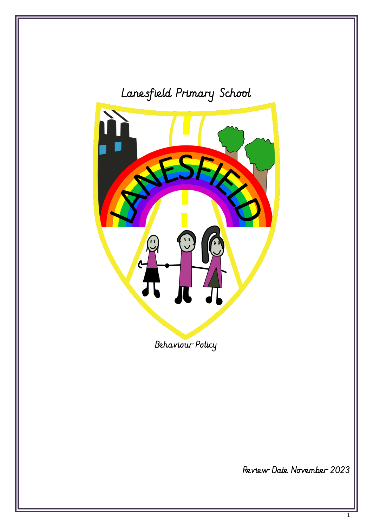



Review Date November 2023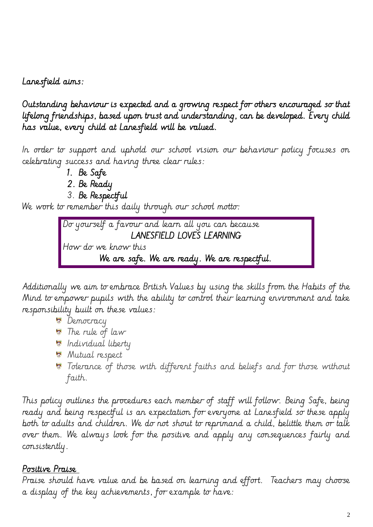## Lanesfield aims:

Outstanding behaviour is expected and a growing respect for others encouraged so that lifelong friendships, based upon trust and understanding, can be developed. Every child has value, every child at Lanesfield will be valued.

In order to support and uphold our school vision our behaviour policy focuses on celebrating success and having three clear rules:

- 1. Be Safe
- 2. Be Ready
- 3. Be Respectful

We work to remember this daily through our school motto:

Do yourself a favour and learn all you can because LANESFIELD LOVES LEARNING How do we know this We are safe. We are ready. We are respectful.

Additionally we aim to embrace British Values by using the skills from the Habits of the Mind to empower pupils with the ability to control their learning environment and take responsibility built on these values:

- **Democracy**
- The rule of law
- Individual liberty
- **Mutual respect**
- Tolerance of those with different faiths and beliefs and for those without faith.

This policy outlines the procedures each member of staff will follow. Being Safe, being ready and being respectful is an expectation for everyone at Lanesfield so these apply both to adults and children. We do not shout to reprimand a child, belittle them or talk over them. We always look for the positive and apply any consequences fairly and consistently.

# Positive Praise

Praise should have value and be based on learning and effort. Teachers may choose a display of the key achievements, for example to have: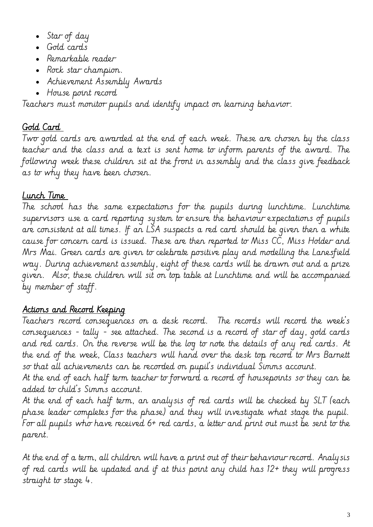- Star of day
- Gold cards
- Remarkable reader
- Rock star champion.
- Achievement Assembly Awards
- House point record

Teachers must monitor pupils and identify impact on learning behavior.

# Gold Card

Two gold cards are awarded at the end of each week. These are chosen by the class teacher and the class and a text is sent home to inform parents of the award. The following week these children sit at the front in assembly and the class give feedback as to why they have been chosen.

# Lunch Time

The school has the same expectations for the pupils during lunchtime. Lunchtime supervisors use a card reporting system to ensure the behaviour expectations of pupils are consistent at all times. If an LSA suspects a red card should be given then a white cause for concern card is issued. These are then reported to Miss CC, Miss Holder and Mrs Mai. Green cards are given to celebrate positive play and modelling the Lanesfield way. During achievement assembly, eight of these cards will be drawn out and a prize given. Also, these children will sit on top table at Lunchtime and will be accompanied by member of staff.

# Actions and Record Keeping

Teachers record consequences on a desk record. The records will record the week's consequences - tally - see attached. The second is a record of star of day, gold cards and red cards. On the reverse will be the log to note the details of any red cards. At the end of the week, Class teachers will hand over the desk top record to Mrs Barnett so that all achievements can be recorded on pupil's individual Simms account.

At the end of each half term teacher to forward a record of housepoints so they can be added to child's Simms account.

At the end of each half term, an analysis of red cards will be checked by SLT (each phase leader completes for the phase) and they will investigate what stage the pupil. For all pupils who have received 6+ red cards, a letter and print out must be sent to the parent.

At the end of a term, all children will have a print out of their behaviour record. Analysis of red cards will be updated and if at this point any child has 12+ they will progress straight to stage 4.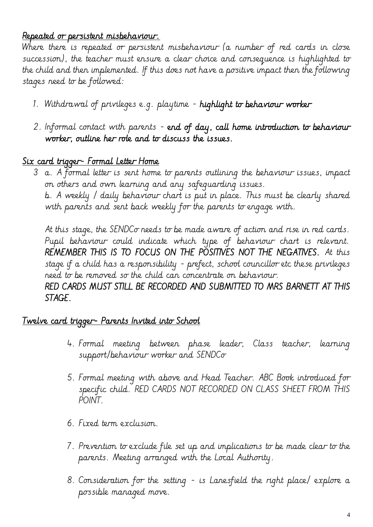### Repeated or persistent misbehaviour.

Where there is repeated or persistent misbehaviour (a number of red cards in close succession), the teacher must ensure a clear choice and consequence is highlighted to the child and then implemented. If this does not have a positive impact then the following stages need to be followed:

- 1. Withdrawal of privileges e.g. playtime highlight to behaviour worker
- 2. Informal contact with parents end of day, call home introduction to behaviour worker, outline her role and to discuss the issues.

## Six card trigger- Formal Letter Home

3 a. A formal letter is sent home to parents outlining the behaviour issues, impact on others and own learning and any safeguarding issues. b. A weekly / daily behaviour chart is put in place. This must be clearly shared with parents and sent back weekly for the parents to engage with.

At this stage, the SENDCo needs to be made aware of action and rise in red cards. Pupil behaviour could indicate which type of behaviour chart is relevant. REMEMBER THIS IS TO FOCUS ON THE POSITIVES NOT THE NEGATIVES. At this stage if a child has a responsibility - prefect, school councillor etc these privileges need to be removed so the child can concentrate on behaviour. RED CARDS MUST STILL BE RECORDED AND SUBMITTED TO MRS BARNETT AT THIS STAGE.

## Twelve card trigger- Parents Invited into School

- 4. Formal meeting between phase leader, Class teacher, learning support/behaviour worker and SENDCo
- 5. Formal meeting with above and Head Teacher. ABC Book introduced for specific child. RED CARDS NOT RECORDED ON CLASS SHEET FROM THIS POINT.
- 6. Fixed term exclusion.
- 7. Prevention to exclude file set up and implications to be made clear to the parents. Meeting arranged with the Local Authority.
- 8. Consideration for the setting is Lanesfield the right place/ explore a possible managed move.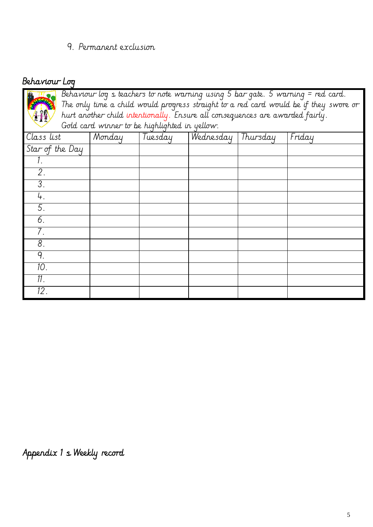9. Permanent exclusion

### Behaviour Log



Behaviour log – teachers to note warning using 5 bar gate. 5 warning = red card. The only time a child would progress straight to a red card would be if they swore or hurt another child intentionally. Ensure all consequences are awarded fairly. Gold card winner to be highlighted in yellow.

| Class list<br>Star of the Day | Monday | Tuesday | Wednesday 1 | Thursday | Friday |
|-------------------------------|--------|---------|-------------|----------|--------|
|                               |        |         |             |          |        |
| $\mathcal{I}$ .               |        |         |             |          |        |
| $\overline{2}$ .              |        |         |             |          |        |
| $\overline{3}$ .              |        |         |             |          |        |
| 4.                            |        |         |             |          |        |
| $\overline{5}$ .              |        |         |             |          |        |
| 6.                            |        |         |             |          |        |
| $\overline{7}$ .              |        |         |             |          |        |
| 8.                            |        |         |             |          |        |
| 9.                            |        |         |             |          |        |
| 10.                           |        |         |             |          |        |
| 11.                           |        |         |             |          |        |
| 12.                           |        |         |             |          |        |

Appendix 1 s Weekly record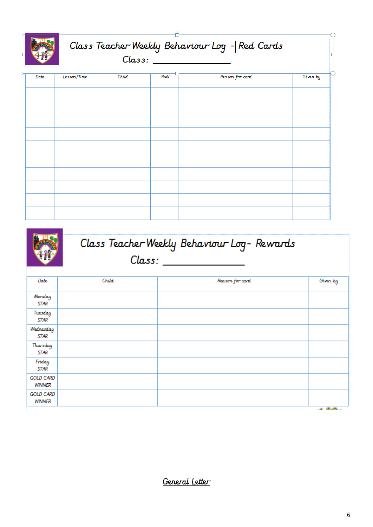|      | Class Teacher Weekly Behaviour Log - Red Cards<br>Class: |       |      |                 |          |  |  |  |  |  |
|------|----------------------------------------------------------|-------|------|-----------------|----------|--|--|--|--|--|
| Date | Lesson/Time                                              | Child | Red/ | Reason for card | Given by |  |  |  |  |  |
|      |                                                          |       |      |                 |          |  |  |  |  |  |
|      |                                                          |       |      |                 |          |  |  |  |  |  |
|      |                                                          |       |      |                 |          |  |  |  |  |  |
|      |                                                          |       |      |                 |          |  |  |  |  |  |
|      |                                                          |       |      |                 |          |  |  |  |  |  |
|      |                                                          |       |      |                 |          |  |  |  |  |  |
|      |                                                          |       |      |                 |          |  |  |  |  |  |

| Class Teacher Weekly Behaviour Log- Rewards<br>Class: |                 |          |  |  |  |  |
|-------------------------------------------------------|-----------------|----------|--|--|--|--|
| Child                                                 | Reason for card | Given by |  |  |  |  |
|                                                       |                 |          |  |  |  |  |
|                                                       |                 |          |  |  |  |  |
|                                                       |                 |          |  |  |  |  |
|                                                       |                 |          |  |  |  |  |
|                                                       |                 |          |  |  |  |  |
|                                                       |                 |          |  |  |  |  |
|                                                       |                 |          |  |  |  |  |
|                                                       |                 |          |  |  |  |  |

General Letter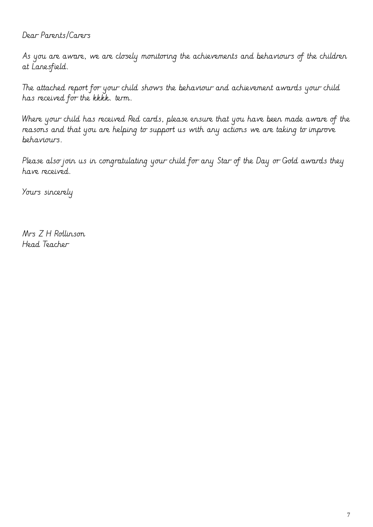### Dear Parents/Carers

As you are aware, we are closely monitoring the achievements and behaviours of the children at Lanesfield.

The attached report for your child shows the behaviour and achievement awards your child has received for the kkkk. term.

Where your child has received Red cards, please ensure that you have been made aware of the reasons and that you are helping to support us with any actions we are taking to improve behaviours.

Please also join us in congratulating your child for any Star of the Day or Gold awards they have received.

Yours sincerely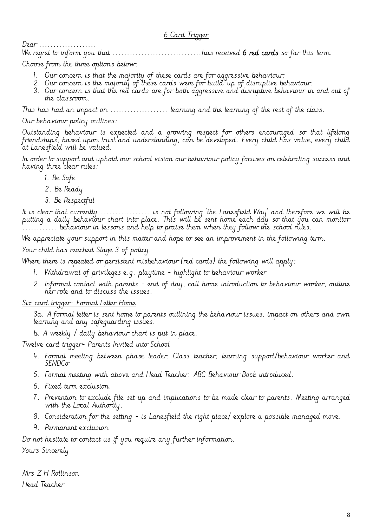#### 6 Card Trigger

Dear .................... We regret to inform you that  $\ldots\ldots\ldots\ldots\ldots\ldots\ldots\ldots\ldots$  has received **6 red cards** so far this term.

Choose from the three options below:

- 1. Our concern is that the majority of these cards are for aggressive behaviour;
- 2. Our concern is the majority of these cards were for build-up of disruptive behaviour.
- 3. Our concern is that the red cards are for both aggressive and disruptive behaviour in and out of the classroom.

This has had an impact on .................... learning and the learning of the rest of the class.

Our behaviour policy outlines:

Outstanding behaviour is expected and a growing respect for others encouraged so that lifelong friendships, based upon trust and understanding, can be developed. Every child has value, every child at Lanesfield will be valued.

In order to support and uphold our school vision our behaviour policy focuses on celebrating success and having three clear rules:

- 1. Be Safe
- 2. Be Ready
- 3. Be Respectful

It is clear that currently ................. is not following 'the Lanesfield Way' and therefore we will be putting a daily behaviour chart into place. This will be sent home each day so that you can monitor ............ behaviour in lessons and help to praise them when they follow the school rules.

We appreciate your support in this matter and hope to see an improvement in the following term.

Your child has reached Stage 3 of policy.

Where there is repeated or persistent misbehaviour (red cards) the following will apply:

- 1. Withdrawal of privileges e.g. playtime highlight to behaviour worker
- 2. Informal contact with parents end of day, call home introduction to behaviour worker, outline her role and to discuss the issues.

Six card trigger- Formal Letter Home

3a. A formal letter is sent home to parents outlining the behaviour issues, impact on others and own learning and any safeguarding issues.

b. A weekly / daily behaviour chart is put in place.

Twelve card trigger- Parents Invited into School

- 4. Formal meeting between phase leader, Class teacher, learning support/behaviour worker and *SENDC*<sub>o</sub>
- 5. Formal meeting with above and Head Teacher. ABC Behaviour Book introduced.
- 6. Fixed term exclusion.
- 7. Prevention to exclude file set up and implications to be made clear to parents. Meeting arranged with the Local Authority.
- 8. Consideration for the setting is Lanesfield the right place/ explore a possible managed move.
- 9. Permanent exclusion

Do not hesitate to contact us if you require any further information.

Yours Sincerely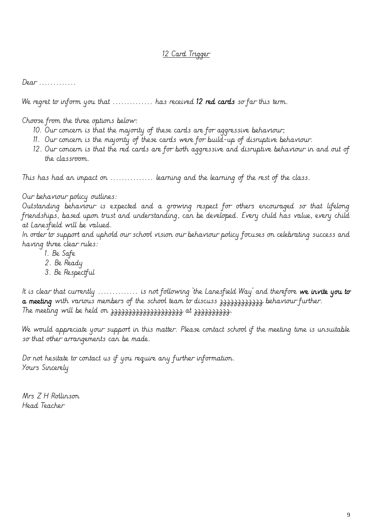#### 12 Card Trigger

Dear .............

We regret to inform you that  $\ldots \ldots \ldots \ldots$  has received **12 red cards** so far this term.

Choose from the three options below:

- 10. Our concern is that the majority of these cards are for aggressive behaviour;
- 11. Our concern is the majority of these cards were for build-up of disruptive behaviour.
- 12. Our concern is that the red cards are for both aggressive and disruptive behaviour in and out of the classroom.

This has had an impact on ............... learning and the learning of the rest of the class.

#### Our behaviour policy outlines:

Outstanding behaviour is expected and a growing respect for others encouraged so that lifelong friendships, based upon trust and understanding, can be developed. Every child has value, every child at Lanesfield will be valued.

In order to support and uphold our school vision our behaviour policy focuses on celebrating success and having three clear rules:

- 1. Be Safe
- 2. Be Ready
- 3. Be Respectful

It is clear that currently ............... is not following 'the Lanesfield Way' and therefore we invite you to a meeting with various members of the school team to discuss  $33333333333$  behaviour further. The meeting will be held on \_\_\_\_\_\_\_\_\_\_\_\_\_\_\_\_\_\_\_\_ at \_\_\_\_\_\_\_\_\_\_.

We would appreciate your support in this matter. Please contact school if the meeting time is unsuitable so that other arrangements can be made.

Do not hesitate to contact us if you require any further information. Yours Sincerely